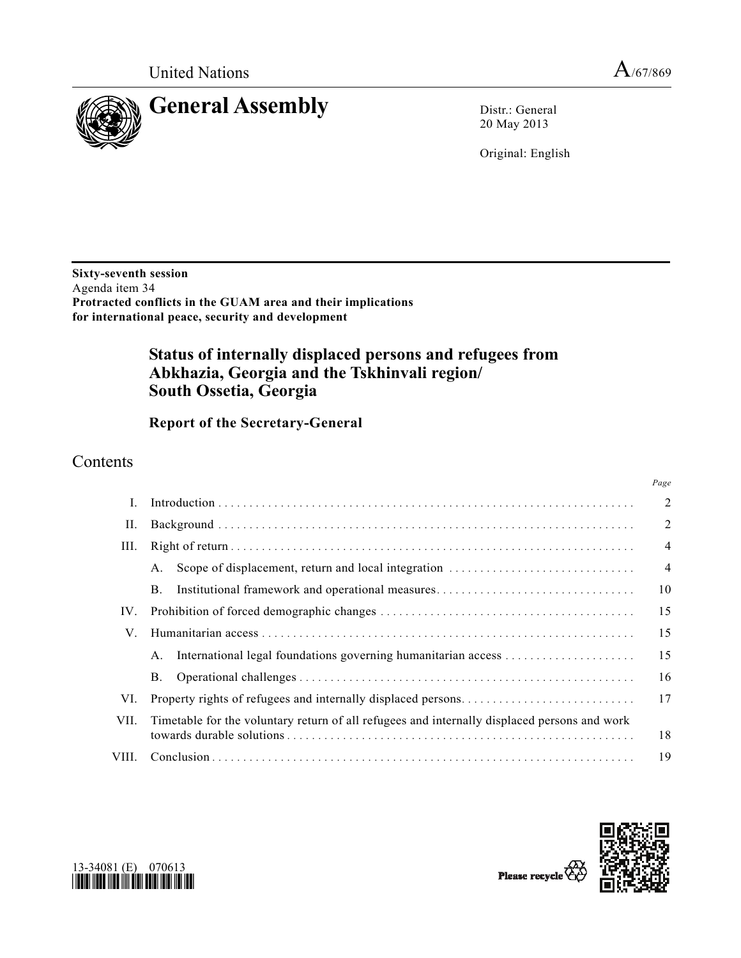*Page*



20 May 2013

Original: English

**Sixty-seventh session**  Agenda item 34 **Protracted conflicts in the GUAM area and their implications for international peace, security and development** 

# **Status of internally displaced persons and refugees from Abkhazia, Georgia and the Tskhinvali region/ South Ossetia, Georgia**

 **Report of the Secretary-General** 

# Contents

| L     |                                                                                              | $\overline{2}$ |
|-------|----------------------------------------------------------------------------------------------|----------------|
| П.    |                                                                                              | $\overline{2}$ |
| III.  |                                                                                              | $\overline{4}$ |
|       | A.                                                                                           | $\overline{4}$ |
|       | Institutional framework and operational measures<br>Β.                                       | 10             |
| IV.   |                                                                                              | 15             |
| V.    |                                                                                              | 15             |
|       | A.                                                                                           | 15             |
|       | Β.                                                                                           | 16             |
| VI.   |                                                                                              | 17             |
| VII.  | Timetable for the voluntary return of all refugees and internally displaced persons and work | 18             |
| VIII. |                                                                                              | 19             |





Please recycle<sup>7</sup>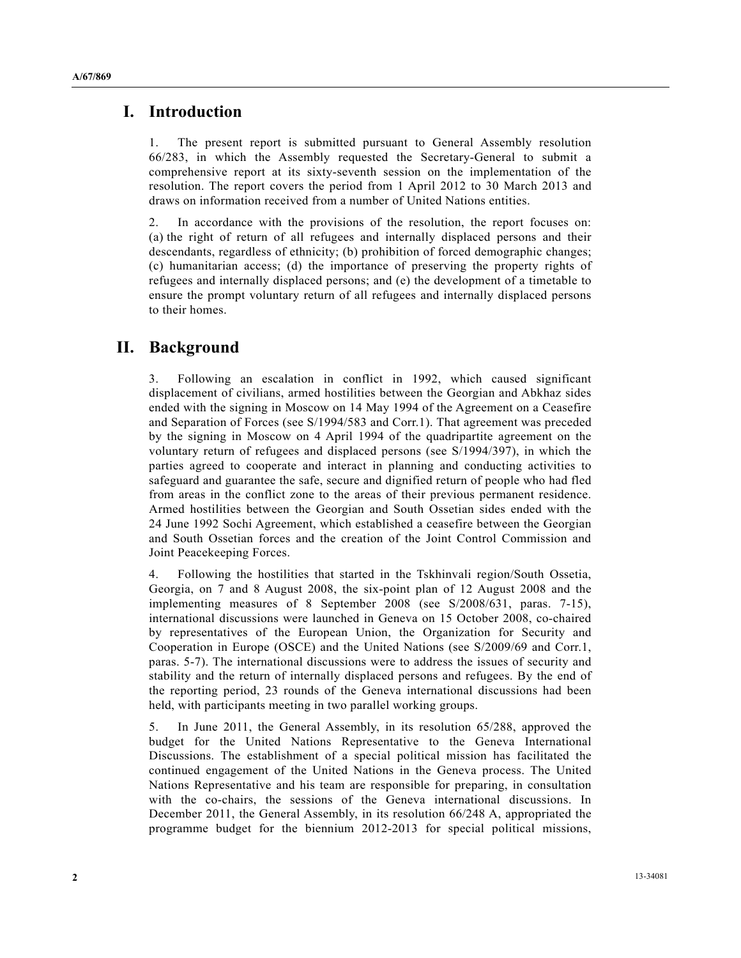### **I. Introduction**

1. The present report is submitted pursuant to General Assembly resolution 66/283, in which the Assembly requested the Secretary-General to submit a comprehensive report at its sixty-seventh session on the implementation of the resolution. The report covers the period from 1 April 2012 to 30 March 2013 and draws on information received from a number of United Nations entities.

2. In accordance with the provisions of the resolution, the report focuses on: (a) the right of return of all refugees and internally displaced persons and their descendants, regardless of ethnicity; (b) prohibition of forced demographic changes; (c) humanitarian access; (d) the importance of preserving the property rights of refugees and internally displaced persons; and (e) the development of a timetable to ensure the prompt voluntary return of all refugees and internally displaced persons to their homes.

### **II. Background**

3. Following an escalation in conflict in 1992, which caused significant displacement of civilians, armed hostilities between the Georgian and Abkhaz sides ended with the signing in Moscow on 14 May 1994 of the Agreement on a Ceasefire and Separation of Forces (see S/1994/583 and Corr.1). That agreement was preceded by the signing in Moscow on 4 April 1994 of the quadripartite agreement on the voluntary return of refugees and displaced persons (see S/1994/397), in which the parties agreed to cooperate and interact in planning and conducting activities to safeguard and guarantee the safe, secure and dignified return of people who had fled from areas in the conflict zone to the areas of their previous permanent residence. Armed hostilities between the Georgian and South Ossetian sides ended with the 24 June 1992 Sochi Agreement, which established a ceasefire between the Georgian and South Ossetian forces and the creation of the Joint Control Commission and Joint Peacekeeping Forces.

4. Following the hostilities that started in the Tskhinvali region/South Ossetia, Georgia, on 7 and 8 August 2008, the six-point plan of 12 August 2008 and the implementing measures of 8 September 2008 (see S/2008/631, paras. 7-15), international discussions were launched in Geneva on 15 October 2008, co-chaired by representatives of the European Union, the Organization for Security and Cooperation in Europe (OSCE) and the United Nations (see S/2009/69 and Corr.1, paras. 5-7). The international discussions were to address the issues of security and stability and the return of internally displaced persons and refugees. By the end of the reporting period, 23 rounds of the Geneva international discussions had been held, with participants meeting in two parallel working groups.

5. In June 2011, the General Assembly, in its resolution 65/288, approved the budget for the United Nations Representative to the Geneva International Discussions. The establishment of a special political mission has facilitated the continued engagement of the United Nations in the Geneva process. The United Nations Representative and his team are responsible for preparing, in consultation with the co-chairs, the sessions of the Geneva international discussions. In December 2011, the General Assembly, in its resolution 66/248 A, appropriated the programme budget for the biennium 2012-2013 for special political missions,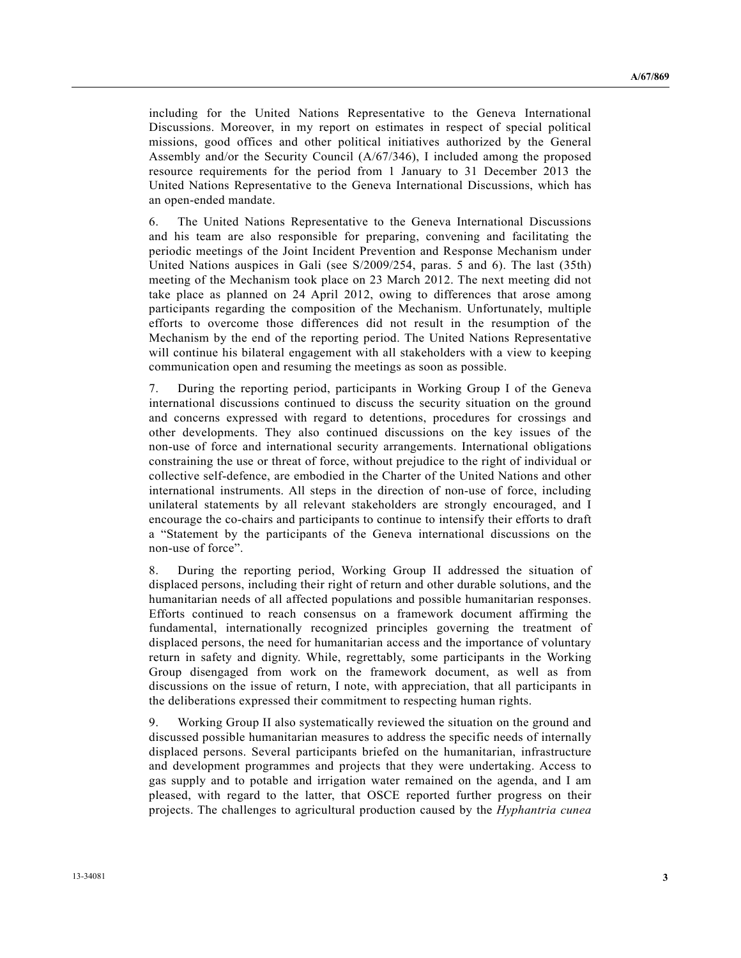including for the United Nations Representative to the Geneva International Discussions. Moreover, in my report on estimates in respect of special political missions, good offices and other political initiatives authorized by the General Assembly and/or the Security Council (A/67/346), I included among the proposed resource requirements for the period from 1 January to 31 December 2013 the United Nations Representative to the Geneva International Discussions, which has an open-ended mandate.

6. The United Nations Representative to the Geneva International Discussions and his team are also responsible for preparing, convening and facilitating the periodic meetings of the Joint Incident Prevention and Response Mechanism under United Nations auspices in Gali (see S/2009/254, paras. 5 and 6). The last (35th) meeting of the Mechanism took place on 23 March 2012. The next meeting did not take place as planned on 24 April 2012, owing to differences that arose among participants regarding the composition of the Mechanism. Unfortunately, multiple efforts to overcome those differences did not result in the resumption of the Mechanism by the end of the reporting period. The United Nations Representative will continue his bilateral engagement with all stakeholders with a view to keeping communication open and resuming the meetings as soon as possible.

7. During the reporting period, participants in Working Group I of the Geneva international discussions continued to discuss the security situation on the ground and concerns expressed with regard to detentions, procedures for crossings and other developments. They also continued discussions on the key issues of the non-use of force and international security arrangements. International obligations constraining the use or threat of force, without prejudice to the right of individual or collective self-defence, are embodied in the Charter of the United Nations and other international instruments. All steps in the direction of non-use of force, including unilateral statements by all relevant stakeholders are strongly encouraged, and I encourage the co-chairs and participants to continue to intensify their efforts to draft a "Statement by the participants of the Geneva international discussions on the non-use of force".

8. During the reporting period, Working Group II addressed the situation of displaced persons, including their right of return and other durable solutions, and the humanitarian needs of all affected populations and possible humanitarian responses. Efforts continued to reach consensus on a framework document affirming the fundamental, internationally recognized principles governing the treatment of displaced persons, the need for humanitarian access and the importance of voluntary return in safety and dignity. While, regrettably, some participants in the Working Group disengaged from work on the framework document, as well as from discussions on the issue of return, I note, with appreciation, that all participants in the deliberations expressed their commitment to respecting human rights.

9. Working Group II also systematically reviewed the situation on the ground and discussed possible humanitarian measures to address the specific needs of internally displaced persons. Several participants briefed on the humanitarian, infrastructure and development programmes and projects that they were undertaking. Access to gas supply and to potable and irrigation water remained on the agenda, and I am pleased, with regard to the latter, that OSCE reported further progress on their projects. The challenges to agricultural production caused by the *Hyphantria cunea*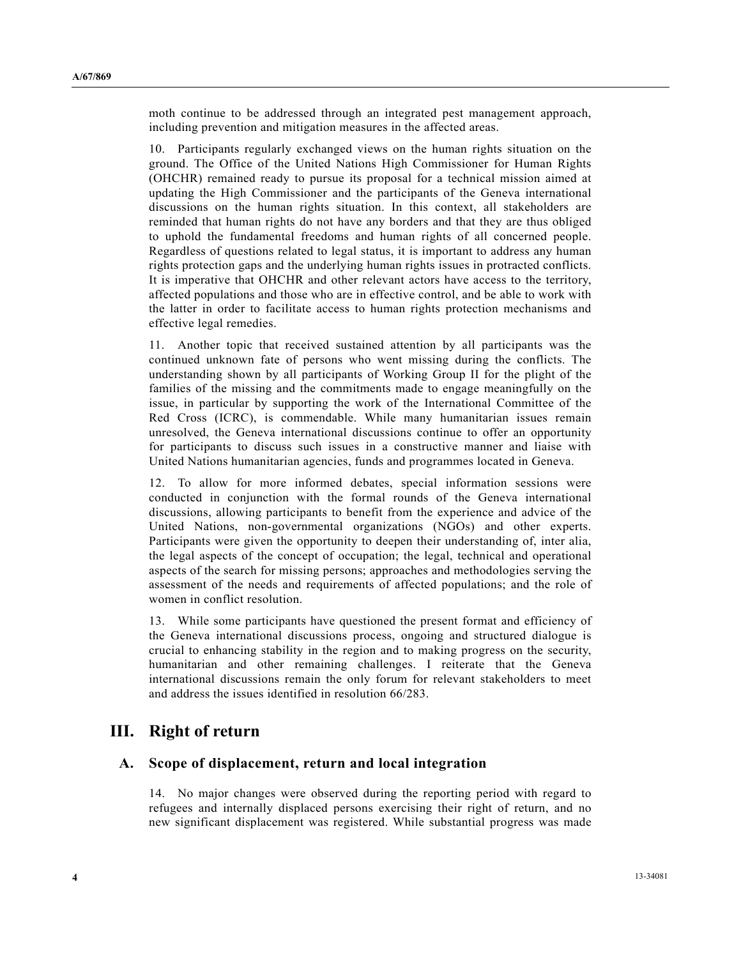moth continue to be addressed through an integrated pest management approach, including prevention and mitigation measures in the affected areas.

10. Participants regularly exchanged views on the human rights situation on the ground. The Office of the United Nations High Commissioner for Human Rights (OHCHR) remained ready to pursue its proposal for a technical mission aimed at updating the High Commissioner and the participants of the Geneva international discussions on the human rights situation. In this context, all stakeholders are reminded that human rights do not have any borders and that they are thus obliged to uphold the fundamental freedoms and human rights of all concerned people. Regardless of questions related to legal status, it is important to address any human rights protection gaps and the underlying human rights issues in protracted conflicts. It is imperative that OHCHR and other relevant actors have access to the territory, affected populations and those who are in effective control, and be able to work with the latter in order to facilitate access to human rights protection mechanisms and effective legal remedies.

11. Another topic that received sustained attention by all participants was the continued unknown fate of persons who went missing during the conflicts. The understanding shown by all participants of Working Group II for the plight of the families of the missing and the commitments made to engage meaningfully on the issue, in particular by supporting the work of the International Committee of the Red Cross (ICRC), is commendable. While many humanitarian issues remain unresolved, the Geneva international discussions continue to offer an opportunity for participants to discuss such issues in a constructive manner and liaise with United Nations humanitarian agencies, funds and programmes located in Geneva.

12. To allow for more informed debates, special information sessions were conducted in conjunction with the formal rounds of the Geneva international discussions, allowing participants to benefit from the experience and advice of the United Nations, non-governmental organizations (NGOs) and other experts. Participants were given the opportunity to deepen their understanding of, inter alia, the legal aspects of the concept of occupation; the legal, technical and operational aspects of the search for missing persons; approaches and methodologies serving the assessment of the needs and requirements of affected populations; and the role of women in conflict resolution.

13. While some participants have questioned the present format and efficiency of the Geneva international discussions process, ongoing and structured dialogue is crucial to enhancing stability in the region and to making progress on the security, humanitarian and other remaining challenges. I reiterate that the Geneva international discussions remain the only forum for relevant stakeholders to meet and address the issues identified in resolution 66/283.

## **III. Right of return**

#### **A. Scope of displacement, return and local integration**

14. No major changes were observed during the reporting period with regard to refugees and internally displaced persons exercising their right of return, and no new significant displacement was registered. While substantial progress was made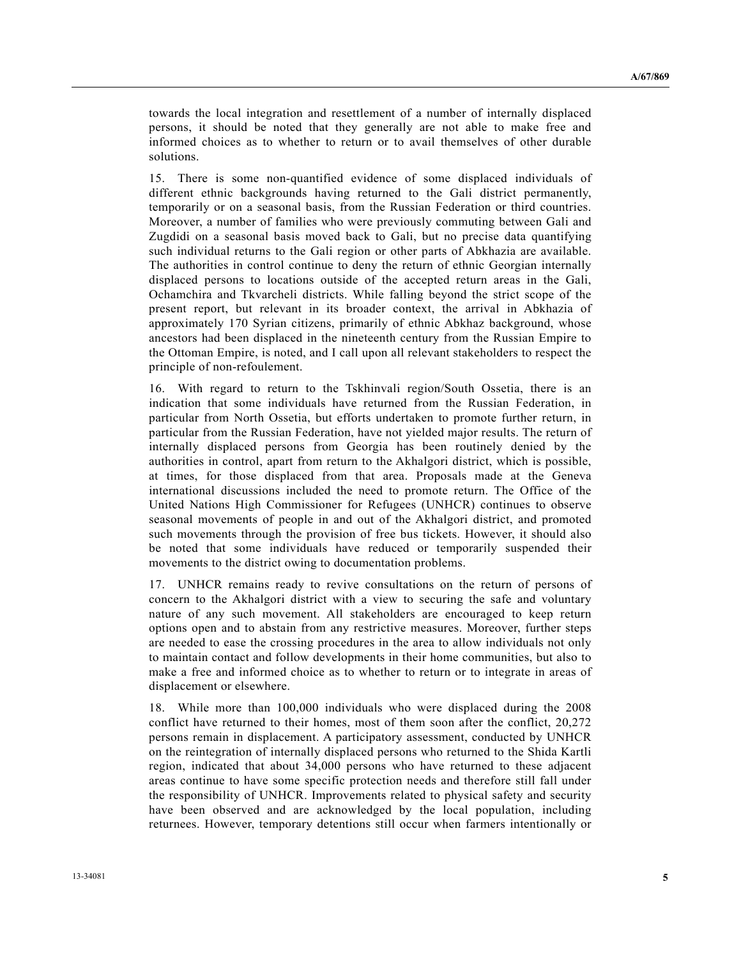towards the local integration and resettlement of a number of internally displaced persons, it should be noted that they generally are not able to make free and informed choices as to whether to return or to avail themselves of other durable solutions.

15. There is some non-quantified evidence of some displaced individuals of different ethnic backgrounds having returned to the Gali district permanently, temporarily or on a seasonal basis, from the Russian Federation or third countries. Moreover, a number of families who were previously commuting between Gali and Zugdidi on a seasonal basis moved back to Gali, but no precise data quantifying such individual returns to the Gali region or other parts of Abkhazia are available. The authorities in control continue to deny the return of ethnic Georgian internally displaced persons to locations outside of the accepted return areas in the Gali, Ochamchira and Tkvarcheli districts. While falling beyond the strict scope of the present report, but relevant in its broader context, the arrival in Abkhazia of approximately 170 Syrian citizens, primarily of ethnic Abkhaz background, whose ancestors had been displaced in the nineteenth century from the Russian Empire to the Ottoman Empire, is noted, and I call upon all relevant stakeholders to respect the principle of non-refoulement.

16. With regard to return to the Tskhinvali region/South Ossetia, there is an indication that some individuals have returned from the Russian Federation, in particular from North Ossetia, but efforts undertaken to promote further return, in particular from the Russian Federation, have not yielded major results. The return of internally displaced persons from Georgia has been routinely denied by the authorities in control, apart from return to the Akhalgori district, which is possible, at times, for those displaced from that area. Proposals made at the Geneva international discussions included the need to promote return. The Office of the United Nations High Commissioner for Refugees (UNHCR) continues to observe seasonal movements of people in and out of the Akhalgori district, and promoted such movements through the provision of free bus tickets. However, it should also be noted that some individuals have reduced or temporarily suspended their movements to the district owing to documentation problems.

17. UNHCR remains ready to revive consultations on the return of persons of concern to the Akhalgori district with a view to securing the safe and voluntary nature of any such movement. All stakeholders are encouraged to keep return options open and to abstain from any restrictive measures. Moreover, further steps are needed to ease the crossing procedures in the area to allow individuals not only to maintain contact and follow developments in their home communities, but also to make a free and informed choice as to whether to return or to integrate in areas of displacement or elsewhere.

18. While more than 100,000 individuals who were displaced during the 2008 conflict have returned to their homes, most of them soon after the conflict, 20,272 persons remain in displacement. A participatory assessment, conducted by UNHCR on the reintegration of internally displaced persons who returned to the Shida Kartli region, indicated that about 34,000 persons who have returned to these adjacent areas continue to have some specific protection needs and therefore still fall under the responsibility of UNHCR. Improvements related to physical safety and security have been observed and are acknowledged by the local population, including returnees. However, temporary detentions still occur when farmers intentionally or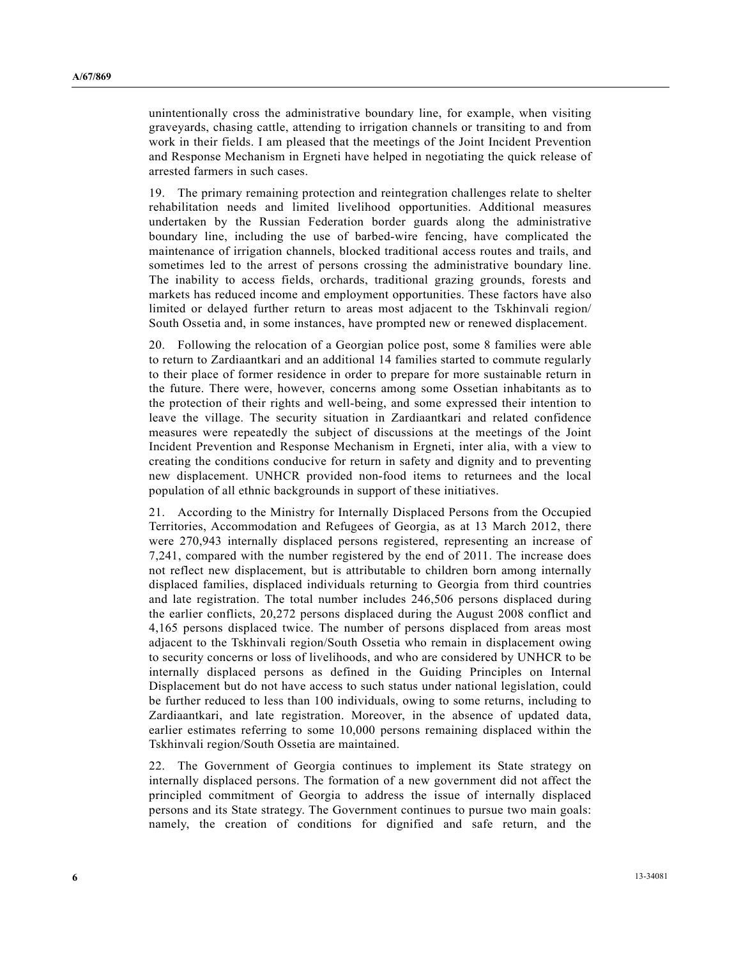unintentionally cross the administrative boundary line, for example, when visiting graveyards, chasing cattle, attending to irrigation channels or transiting to and from work in their fields. I am pleased that the meetings of the Joint Incident Prevention and Response Mechanism in Ergneti have helped in negotiating the quick release of arrested farmers in such cases.

19. The primary remaining protection and reintegration challenges relate to shelter rehabilitation needs and limited livelihood opportunities. Additional measures undertaken by the Russian Federation border guards along the administrative boundary line, including the use of barbed-wire fencing, have complicated the maintenance of irrigation channels, blocked traditional access routes and trails, and sometimes led to the arrest of persons crossing the administrative boundary line. The inability to access fields, orchards, traditional grazing grounds, forests and markets has reduced income and employment opportunities. These factors have also limited or delayed further return to areas most adjacent to the Tskhinvali region/ South Ossetia and, in some instances, have prompted new or renewed displacement.

20. Following the relocation of a Georgian police post, some 8 families were able to return to Zardiaantkari and an additional 14 families started to commute regularly to their place of former residence in order to prepare for more sustainable return in the future. There were, however, concerns among some Ossetian inhabitants as to the protection of their rights and well-being, and some expressed their intention to leave the village. The security situation in Zardiaantkari and related confidence measures were repeatedly the subject of discussions at the meetings of the Joint Incident Prevention and Response Mechanism in Ergneti, inter alia, with a view to creating the conditions conducive for return in safety and dignity and to preventing new displacement. UNHCR provided non-food items to returnees and the local population of all ethnic backgrounds in support of these initiatives.

21. According to the Ministry for Internally Displaced Persons from the Occupied Territories, Accommodation and Refugees of Georgia, as at 13 March 2012, there were 270,943 internally displaced persons registered, representing an increase of 7,241, compared with the number registered by the end of 2011. The increase does not reflect new displacement, but is attributable to children born among internally displaced families, displaced individuals returning to Georgia from third countries and late registration. The total number includes 246,506 persons displaced during the earlier conflicts, 20,272 persons displaced during the August 2008 conflict and 4,165 persons displaced twice. The number of persons displaced from areas most adjacent to the Tskhinvali region/South Ossetia who remain in displacement owing to security concerns or loss of livelihoods, and who are considered by UNHCR to be internally displaced persons as defined in the Guiding Principles on Internal Displacement but do not have access to such status under national legislation, could be further reduced to less than 100 individuals, owing to some returns, including to Zardiaantkari, and late registration. Moreover, in the absence of updated data, earlier estimates referring to some 10,000 persons remaining displaced within the Tskhinvali region/South Ossetia are maintained.

22. The Government of Georgia continues to implement its State strategy on internally displaced persons. The formation of a new government did not affect the principled commitment of Georgia to address the issue of internally displaced persons and its State strategy. The Government continues to pursue two main goals: namely, the creation of conditions for dignified and safe return, and the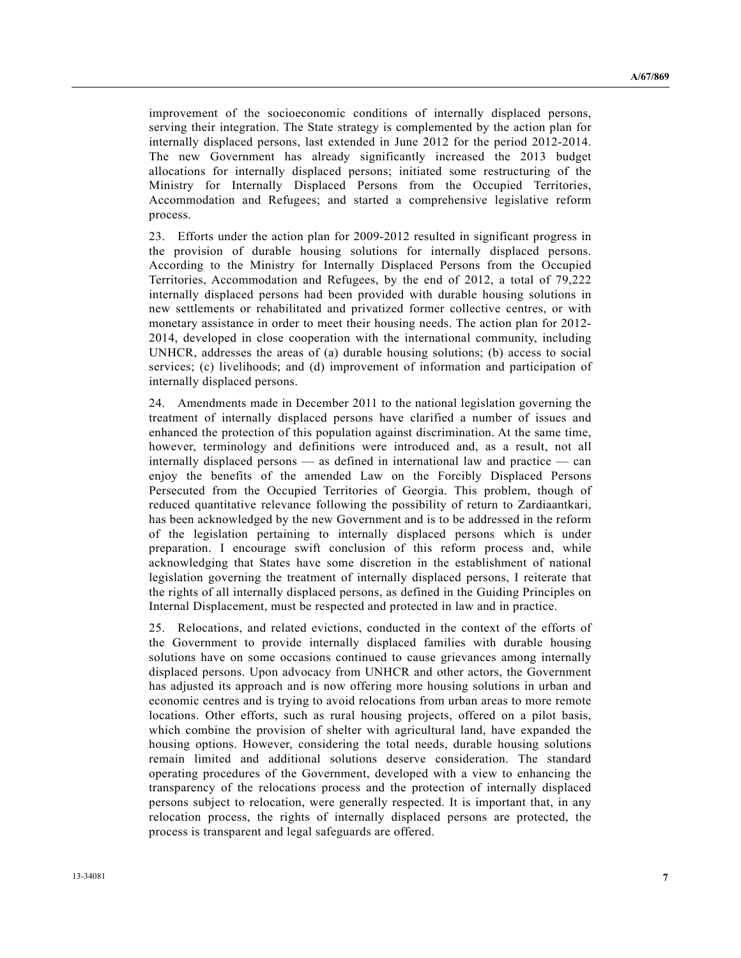improvement of the socioeconomic conditions of internally displaced persons, serving their integration. The State strategy is complemented by the action plan for internally displaced persons, last extended in June 2012 for the period 2012-2014. The new Government has already significantly increased the 2013 budget allocations for internally displaced persons; initiated some restructuring of the Ministry for Internally Displaced Persons from the Occupied Territories, Accommodation and Refugees; and started a comprehensive legislative reform process.

23. Efforts under the action plan for 2009-2012 resulted in significant progress in the provision of durable housing solutions for internally displaced persons. According to the Ministry for Internally Displaced Persons from the Occupied Territories, Accommodation and Refugees, by the end of 2012, a total of 79,222 internally displaced persons had been provided with durable housing solutions in new settlements or rehabilitated and privatized former collective centres, or with monetary assistance in order to meet their housing needs. The action plan for 2012- 2014, developed in close cooperation with the international community, including UNHCR, addresses the areas of (a) durable housing solutions; (b) access to social services; (c) livelihoods; and (d) improvement of information and participation of internally displaced persons.

24. Amendments made in December 2011 to the national legislation governing the treatment of internally displaced persons have clarified a number of issues and enhanced the protection of this population against discrimination. At the same time, however, terminology and definitions were introduced and, as a result, not all internally displaced persons — as defined in international law and practice — can enjoy the benefits of the amended Law on the Forcibly Displaced Persons Persecuted from the Occupied Territories of Georgia. This problem, though of reduced quantitative relevance following the possibility of return to Zardiaantkari, has been acknowledged by the new Government and is to be addressed in the reform of the legislation pertaining to internally displaced persons which is under preparation. I encourage swift conclusion of this reform process and, while acknowledging that States have some discretion in the establishment of national legislation governing the treatment of internally displaced persons, I reiterate that the rights of all internally displaced persons, as defined in the Guiding Principles on Internal Displacement, must be respected and protected in law and in practice.

25. Relocations, and related evictions, conducted in the context of the efforts of the Government to provide internally displaced families with durable housing solutions have on some occasions continued to cause grievances among internally displaced persons. Upon advocacy from UNHCR and other actors, the Government has adjusted its approach and is now offering more housing solutions in urban and economic centres and is trying to avoid relocations from urban areas to more remote locations. Other efforts, such as rural housing projects, offered on a pilot basis, which combine the provision of shelter with agricultural land, have expanded the housing options. However, considering the total needs, durable housing solutions remain limited and additional solutions deserve consideration. The standard operating procedures of the Government, developed with a view to enhancing the transparency of the relocations process and the protection of internally displaced persons subject to relocation, were generally respected. It is important that, in any relocation process, the rights of internally displaced persons are protected, the process is transparent and legal safeguards are offered.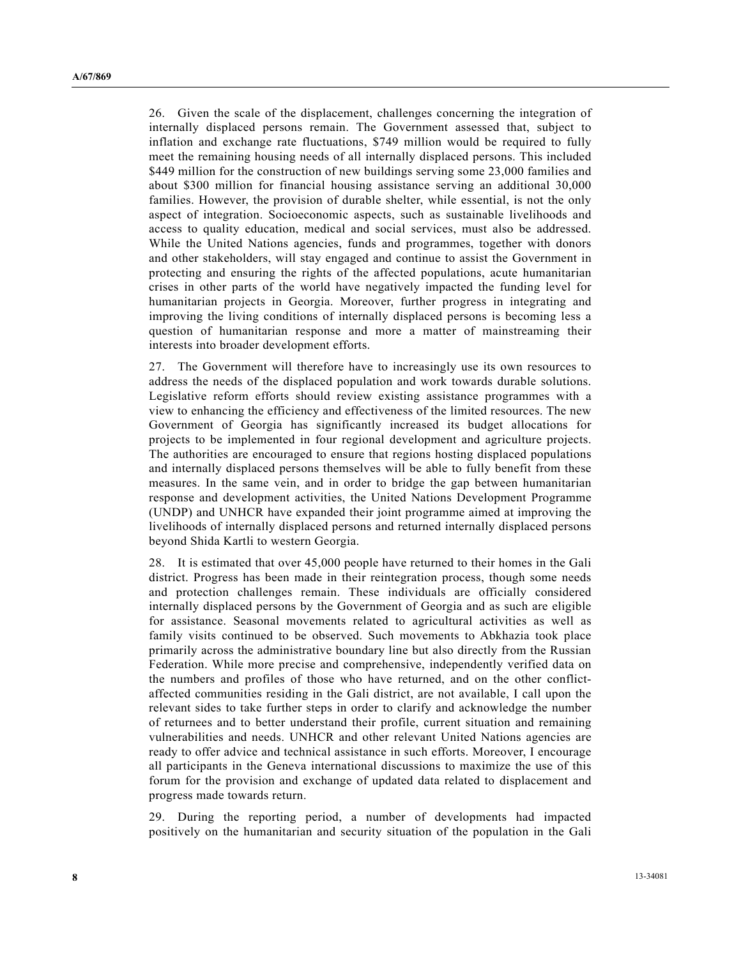26. Given the scale of the displacement, challenges concerning the integration of internally displaced persons remain. The Government assessed that, subject to inflation and exchange rate fluctuations, \$749 million would be required to fully meet the remaining housing needs of all internally displaced persons. This included \$449 million for the construction of new buildings serving some 23,000 families and about \$300 million for financial housing assistance serving an additional 30,000 families. However, the provision of durable shelter, while essential, is not the only aspect of integration. Socioeconomic aspects, such as sustainable livelihoods and access to quality education, medical and social services, must also be addressed. While the United Nations agencies, funds and programmes, together with donors and other stakeholders, will stay engaged and continue to assist the Government in protecting and ensuring the rights of the affected populations, acute humanitarian crises in other parts of the world have negatively impacted the funding level for humanitarian projects in Georgia. Moreover, further progress in integrating and improving the living conditions of internally displaced persons is becoming less a question of humanitarian response and more a matter of mainstreaming their interests into broader development efforts.

27. The Government will therefore have to increasingly use its own resources to address the needs of the displaced population and work towards durable solutions. Legislative reform efforts should review existing assistance programmes with a view to enhancing the efficiency and effectiveness of the limited resources. The new Government of Georgia has significantly increased its budget allocations for projects to be implemented in four regional development and agriculture projects. The authorities are encouraged to ensure that regions hosting displaced populations and internally displaced persons themselves will be able to fully benefit from these measures. In the same vein, and in order to bridge the gap between humanitarian response and development activities, the United Nations Development Programme (UNDP) and UNHCR have expanded their joint programme aimed at improving the livelihoods of internally displaced persons and returned internally displaced persons beyond Shida Kartli to western Georgia.

28. It is estimated that over 45,000 people have returned to their homes in the Gali district. Progress has been made in their reintegration process, though some needs and protection challenges remain. These individuals are officially considered internally displaced persons by the Government of Georgia and as such are eligible for assistance. Seasonal movements related to agricultural activities as well as family visits continued to be observed. Such movements to Abkhazia took place primarily across the administrative boundary line but also directly from the Russian Federation. While more precise and comprehensive, independently verified data on the numbers and profiles of those who have returned, and on the other conflictaffected communities residing in the Gali district, are not available, I call upon the relevant sides to take further steps in order to clarify and acknowledge the number of returnees and to better understand their profile, current situation and remaining vulnerabilities and needs. UNHCR and other relevant United Nations agencies are ready to offer advice and technical assistance in such efforts. Moreover, I encourage all participants in the Geneva international discussions to maximize the use of this forum for the provision and exchange of updated data related to displacement and progress made towards return.

29. During the reporting period, a number of developments had impacted positively on the humanitarian and security situation of the population in the Gali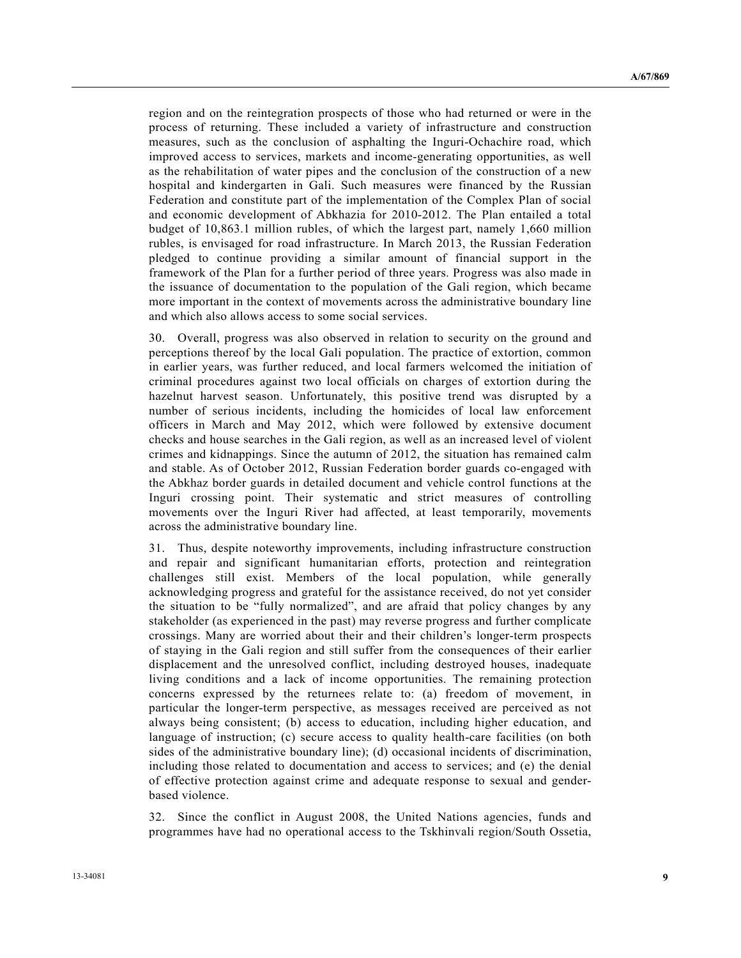region and on the reintegration prospects of those who had returned or were in the process of returning. These included a variety of infrastructure and construction measures, such as the conclusion of asphalting the Inguri-Ochachire road, which improved access to services, markets and income-generating opportunities, as well as the rehabilitation of water pipes and the conclusion of the construction of a new hospital and kindergarten in Gali. Such measures were financed by the Russian Federation and constitute part of the implementation of the Complex Plan of social and economic development of Abkhazia for 2010-2012. The Plan entailed a total budget of 10,863.1 million rubles, of which the largest part, namely 1,660 million rubles, is envisaged for road infrastructure. In March 2013, the Russian Federation pledged to continue providing a similar amount of financial support in the framework of the Plan for a further period of three years. Progress was also made in the issuance of documentation to the population of the Gali region, which became more important in the context of movements across the administrative boundary line and which also allows access to some social services.

30. Overall, progress was also observed in relation to security on the ground and perceptions thereof by the local Gali population. The practice of extortion, common in earlier years, was further reduced, and local farmers welcomed the initiation of criminal procedures against two local officials on charges of extortion during the hazelnut harvest season. Unfortunately, this positive trend was disrupted by a number of serious incidents, including the homicides of local law enforcement officers in March and May 2012, which were followed by extensive document checks and house searches in the Gali region, as well as an increased level of violent crimes and kidnappings. Since the autumn of 2012, the situation has remained calm and stable. As of October 2012, Russian Federation border guards co-engaged with the Abkhaz border guards in detailed document and vehicle control functions at the Inguri crossing point. Their systematic and strict measures of controlling movements over the Inguri River had affected, at least temporarily, movements across the administrative boundary line.

31. Thus, despite noteworthy improvements, including infrastructure construction and repair and significant humanitarian efforts, protection and reintegration challenges still exist. Members of the local population, while generally acknowledging progress and grateful for the assistance received, do not yet consider the situation to be "fully normalized", and are afraid that policy changes by any stakeholder (as experienced in the past) may reverse progress and further complicate crossings. Many are worried about their and their children's longer-term prospects of staying in the Gali region and still suffer from the consequences of their earlier displacement and the unresolved conflict, including destroyed houses, inadequate living conditions and a lack of income opportunities. The remaining protection concerns expressed by the returnees relate to: (a) freedom of movement, in particular the longer-term perspective, as messages received are perceived as not always being consistent; (b) access to education, including higher education, and language of instruction; (c) secure access to quality health-care facilities (on both sides of the administrative boundary line); (d) occasional incidents of discrimination, including those related to documentation and access to services; and (e) the denial of effective protection against crime and adequate response to sexual and genderbased violence.

32. Since the conflict in August 2008, the United Nations agencies, funds and programmes have had no operational access to the Tskhinvali region/South Ossetia,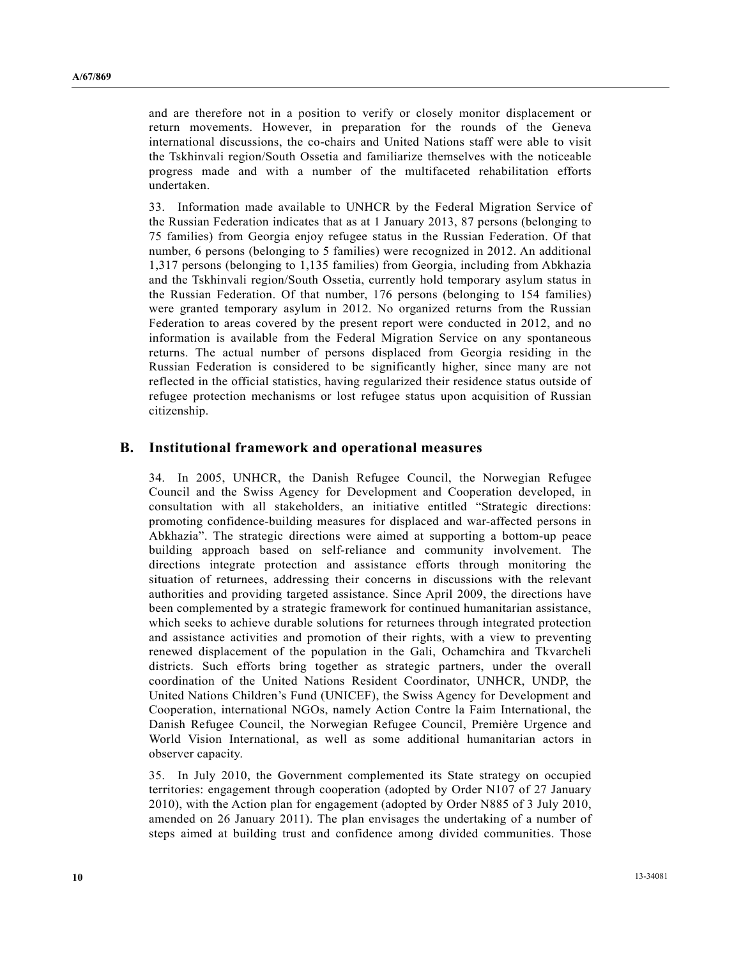and are therefore not in a position to verify or closely monitor displacement or return movements. However, in preparation for the rounds of the Geneva international discussions, the co-chairs and United Nations staff were able to visit the Tskhinvali region/South Ossetia and familiarize themselves with the noticeable progress made and with a number of the multifaceted rehabilitation efforts undertaken.

33. Information made available to UNHCR by the Federal Migration Service of the Russian Federation indicates that as at 1 January 2013, 87 persons (belonging to 75 families) from Georgia enjoy refugee status in the Russian Federation. Of that number, 6 persons (belonging to 5 families) were recognized in 2012. An additional 1,317 persons (belonging to 1,135 families) from Georgia, including from Abkhazia and the Tskhinvali region/South Ossetia, currently hold temporary asylum status in the Russian Federation. Of that number, 176 persons (belonging to 154 families) were granted temporary asylum in 2012. No organized returns from the Russian Federation to areas covered by the present report were conducted in 2012, and no information is available from the Federal Migration Service on any spontaneous returns. The actual number of persons displaced from Georgia residing in the Russian Federation is considered to be significantly higher, since many are not reflected in the official statistics, having regularized their residence status outside of refugee protection mechanisms or lost refugee status upon acquisition of Russian citizenship.

### **B. Institutional framework and operational measures**

34. In 2005, UNHCR, the Danish Refugee Council, the Norwegian Refugee Council and the Swiss Agency for Development and Cooperation developed, in consultation with all stakeholders, an initiative entitled "Strategic directions: promoting confidence-building measures for displaced and war-affected persons in Abkhazia". The strategic directions were aimed at supporting a bottom-up peace building approach based on self-reliance and community involvement. The directions integrate protection and assistance efforts through monitoring the situation of returnees, addressing their concerns in discussions with the relevant authorities and providing targeted assistance. Since April 2009, the directions have been complemented by a strategic framework for continued humanitarian assistance, which seeks to achieve durable solutions for returnees through integrated protection and assistance activities and promotion of their rights, with a view to preventing renewed displacement of the population in the Gali, Ochamchira and Tkvarcheli districts. Such efforts bring together as strategic partners, under the overall coordination of the United Nations Resident Coordinator, UNHCR, UNDP, the United Nations Children's Fund (UNICEF), the Swiss Agency for Development and Cooperation, international NGOs, namely Action Contre la Faim International, the Danish Refugee Council, the Norwegian Refugee Council, Première Urgence and World Vision International, as well as some additional humanitarian actors in observer capacity.

35. In July 2010, the Government complemented its State strategy on occupied territories: engagement through cooperation (adopted by Order N107 of 27 January 2010), with the Action plan for engagement (adopted by Order N885 of 3 July 2010, amended on 26 January 2011). The plan envisages the undertaking of a number of steps aimed at building trust and confidence among divided communities. Those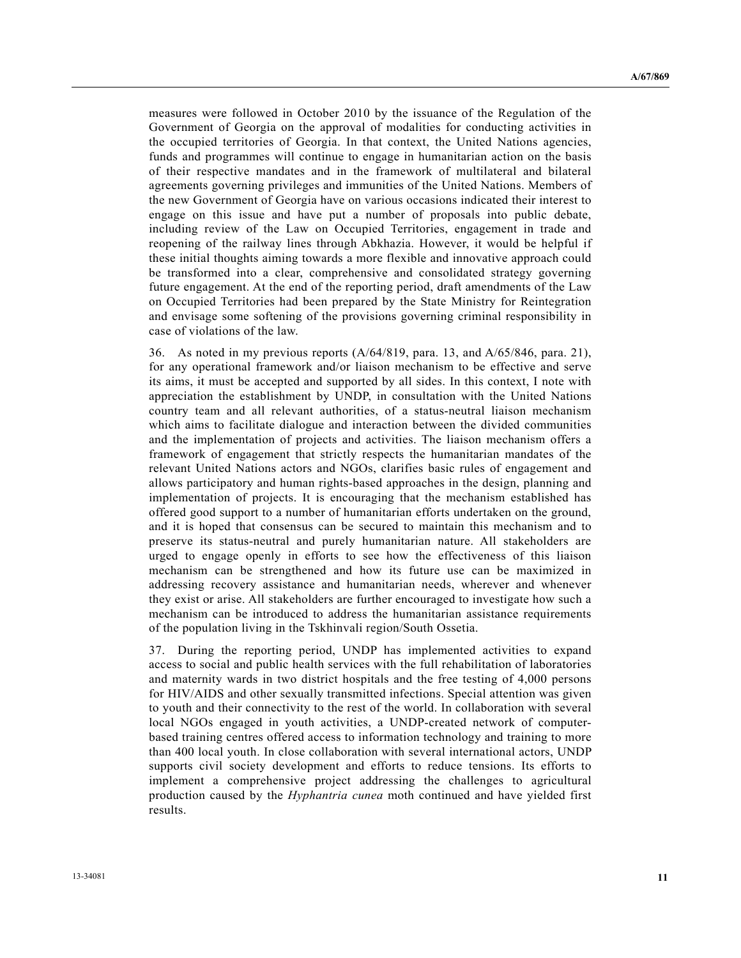measures were followed in October 2010 by the issuance of the Regulation of the Government of Georgia on the approval of modalities for conducting activities in the occupied territories of Georgia. In that context, the United Nations agencies, funds and programmes will continue to engage in humanitarian action on the basis of their respective mandates and in the framework of multilateral and bilateral agreements governing privileges and immunities of the United Nations. Members of the new Government of Georgia have on various occasions indicated their interest to engage on this issue and have put a number of proposals into public debate, including review of the Law on Occupied Territories, engagement in trade and reopening of the railway lines through Abkhazia. However, it would be helpful if these initial thoughts aiming towards a more flexible and innovative approach could be transformed into a clear, comprehensive and consolidated strategy governing future engagement. At the end of the reporting period, draft amendments of the Law on Occupied Territories had been prepared by the State Ministry for Reintegration and envisage some softening of the provisions governing criminal responsibility in case of violations of the law.

36. As noted in my previous reports (A/64/819, para. 13, and A/65/846, para. 21), for any operational framework and/or liaison mechanism to be effective and serve its aims, it must be accepted and supported by all sides. In this context, I note with appreciation the establishment by UNDP, in consultation with the United Nations country team and all relevant authorities, of a status-neutral liaison mechanism which aims to facilitate dialogue and interaction between the divided communities and the implementation of projects and activities. The liaison mechanism offers a framework of engagement that strictly respects the humanitarian mandates of the relevant United Nations actors and NGOs, clarifies basic rules of engagement and allows participatory and human rights-based approaches in the design, planning and implementation of projects. It is encouraging that the mechanism established has offered good support to a number of humanitarian efforts undertaken on the ground, and it is hoped that consensus can be secured to maintain this mechanism and to preserve its status-neutral and purely humanitarian nature. All stakeholders are urged to engage openly in efforts to see how the effectiveness of this liaison mechanism can be strengthened and how its future use can be maximized in addressing recovery assistance and humanitarian needs, wherever and whenever they exist or arise. All stakeholders are further encouraged to investigate how such a mechanism can be introduced to address the humanitarian assistance requirements of the population living in the Tskhinvali region/South Ossetia.

37. During the reporting period, UNDP has implemented activities to expand access to social and public health services with the full rehabilitation of laboratories and maternity wards in two district hospitals and the free testing of 4,000 persons for HIV/AIDS and other sexually transmitted infections. Special attention was given to youth and their connectivity to the rest of the world. In collaboration with several local NGOs engaged in youth activities, a UNDP-created network of computerbased training centres offered access to information technology and training to more than 400 local youth. In close collaboration with several international actors, UNDP supports civil society development and efforts to reduce tensions. Its efforts to implement a comprehensive project addressing the challenges to agricultural production caused by the *Hyphantria cunea* moth continued and have yielded first results.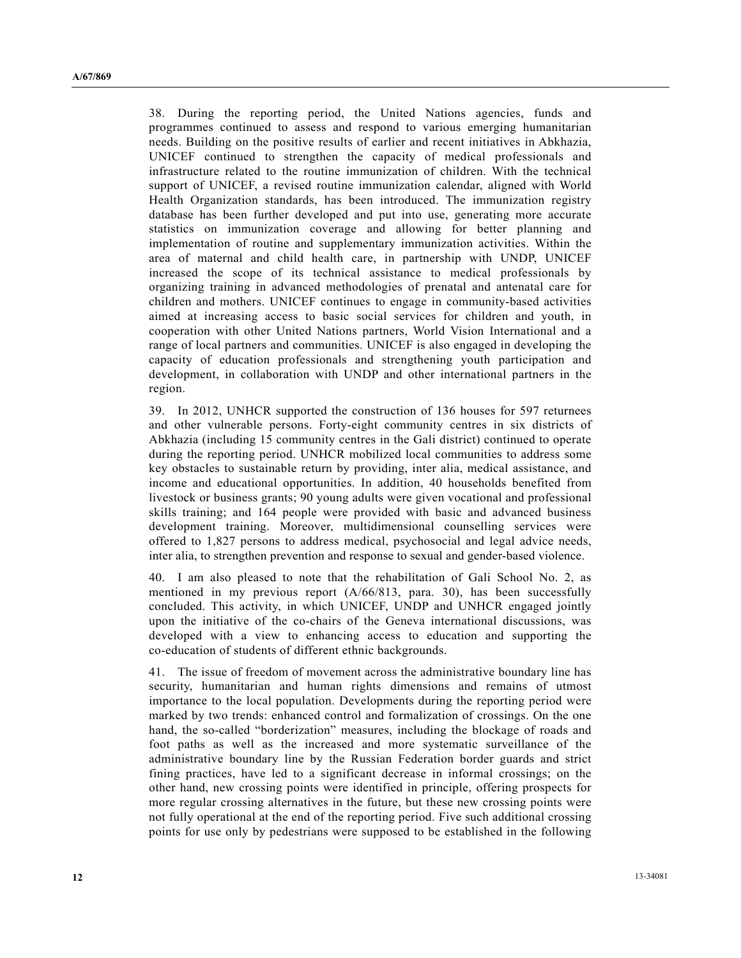38. During the reporting period, the United Nations agencies, funds and programmes continued to assess and respond to various emerging humanitarian needs. Building on the positive results of earlier and recent initiatives in Abkhazia, UNICEF continued to strengthen the capacity of medical professionals and infrastructure related to the routine immunization of children. With the technical support of UNICEF, a revised routine immunization calendar, aligned with World Health Organization standards, has been introduced. The immunization registry database has been further developed and put into use, generating more accurate statistics on immunization coverage and allowing for better planning and implementation of routine and supplementary immunization activities. Within the area of maternal and child health care, in partnership with UNDP, UNICEF increased the scope of its technical assistance to medical professionals by organizing training in advanced methodologies of prenatal and antenatal care for children and mothers. UNICEF continues to engage in community-based activities aimed at increasing access to basic social services for children and youth, in cooperation with other United Nations partners, World Vision International and a range of local partners and communities. UNICEF is also engaged in developing the capacity of education professionals and strengthening youth participation and development, in collaboration with UNDP and other international partners in the region.

39. In 2012, UNHCR supported the construction of 136 houses for 597 returnees and other vulnerable persons. Forty-eight community centres in six districts of Abkhazia (including 15 community centres in the Gali district) continued to operate during the reporting period. UNHCR mobilized local communities to address some key obstacles to sustainable return by providing, inter alia, medical assistance, and income and educational opportunities. In addition, 40 households benefited from livestock or business grants; 90 young adults were given vocational and professional skills training; and 164 people were provided with basic and advanced business development training. Moreover, multidimensional counselling services were offered to 1,827 persons to address medical, psychosocial and legal advice needs, inter alia, to strengthen prevention and response to sexual and gender-based violence.

40. I am also pleased to note that the rehabilitation of Gali School No. 2, as mentioned in my previous report (A/66/813, para. 30), has been successfully concluded. This activity, in which UNICEF, UNDP and UNHCR engaged jointly upon the initiative of the co-chairs of the Geneva international discussions, was developed with a view to enhancing access to education and supporting the co-education of students of different ethnic backgrounds.

41. The issue of freedom of movement across the administrative boundary line has security, humanitarian and human rights dimensions and remains of utmost importance to the local population. Developments during the reporting period were marked by two trends: enhanced control and formalization of crossings. On the one hand, the so-called "borderization" measures, including the blockage of roads and foot paths as well as the increased and more systematic surveillance of the administrative boundary line by the Russian Federation border guards and strict fining practices, have led to a significant decrease in informal crossings; on the other hand, new crossing points were identified in principle, offering prospects for more regular crossing alternatives in the future, but these new crossing points were not fully operational at the end of the reporting period. Five such additional crossing points for use only by pedestrians were supposed to be established in the following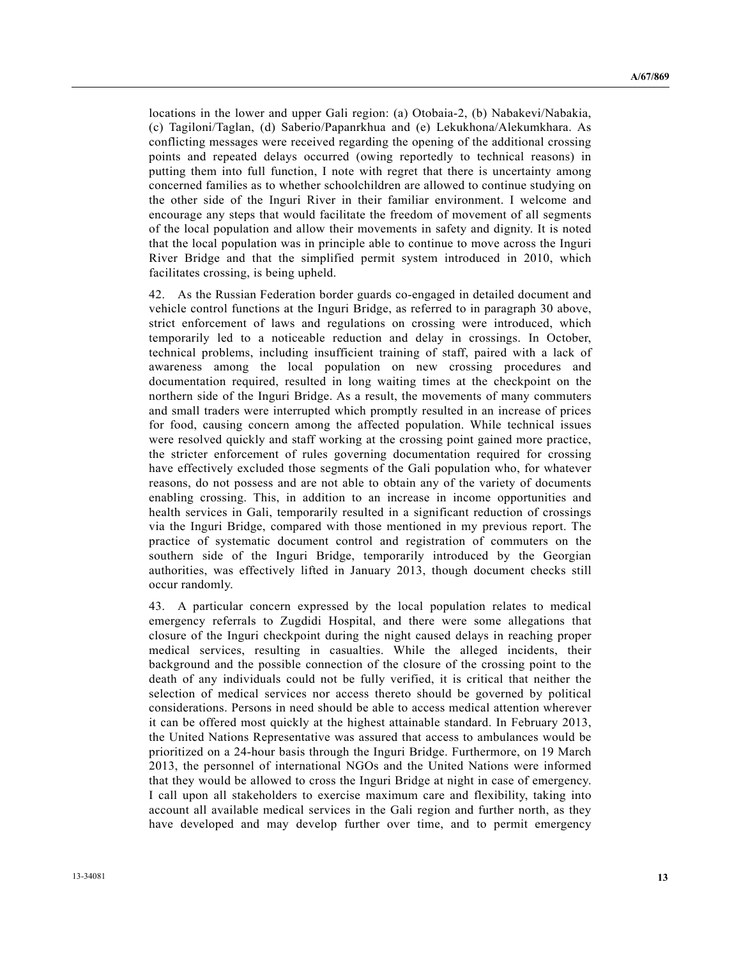locations in the lower and upper Gali region: (a) Otobaia-2, (b) Nabakevi/Nabakia, (c) Tagiloni/Taglan, (d) Saberio/Papanrkhua and (e) Lekukhona/Alekumkhara. As conflicting messages were received regarding the opening of the additional crossing points and repeated delays occurred (owing reportedly to technical reasons) in putting them into full function, I note with regret that there is uncertainty among concerned families as to whether schoolchildren are allowed to continue studying on the other side of the Inguri River in their familiar environment. I welcome and encourage any steps that would facilitate the freedom of movement of all segments of the local population and allow their movements in safety and dignity. It is noted that the local population was in principle able to continue to move across the Inguri River Bridge and that the simplified permit system introduced in 2010, which facilitates crossing, is being upheld.

42. As the Russian Federation border guards co-engaged in detailed document and vehicle control functions at the Inguri Bridge, as referred to in paragraph 30 above, strict enforcement of laws and regulations on crossing were introduced, which temporarily led to a noticeable reduction and delay in crossings. In October, technical problems, including insufficient training of staff, paired with a lack of awareness among the local population on new crossing procedures and documentation required, resulted in long waiting times at the checkpoint on the northern side of the Inguri Bridge. As a result, the movements of many commuters and small traders were interrupted which promptly resulted in an increase of prices for food, causing concern among the affected population. While technical issues were resolved quickly and staff working at the crossing point gained more practice, the stricter enforcement of rules governing documentation required for crossing have effectively excluded those segments of the Gali population who, for whatever reasons, do not possess and are not able to obtain any of the variety of documents enabling crossing. This, in addition to an increase in income opportunities and health services in Gali, temporarily resulted in a significant reduction of crossings via the Inguri Bridge, compared with those mentioned in my previous report. The practice of systematic document control and registration of commuters on the southern side of the Inguri Bridge, temporarily introduced by the Georgian authorities, was effectively lifted in January 2013, though document checks still occur randomly.

43. A particular concern expressed by the local population relates to medical emergency referrals to Zugdidi Hospital, and there were some allegations that closure of the Inguri checkpoint during the night caused delays in reaching proper medical services, resulting in casualties. While the alleged incidents, their background and the possible connection of the closure of the crossing point to the death of any individuals could not be fully verified, it is critical that neither the selection of medical services nor access thereto should be governed by political considerations. Persons in need should be able to access medical attention wherever it can be offered most quickly at the highest attainable standard. In February 2013, the United Nations Representative was assured that access to ambulances would be prioritized on a 24-hour basis through the Inguri Bridge. Furthermore, on 19 March 2013, the personnel of international NGOs and the United Nations were informed that they would be allowed to cross the Inguri Bridge at night in case of emergency. I call upon all stakeholders to exercise maximum care and flexibility, taking into account all available medical services in the Gali region and further north, as they have developed and may develop further over time, and to permit emergency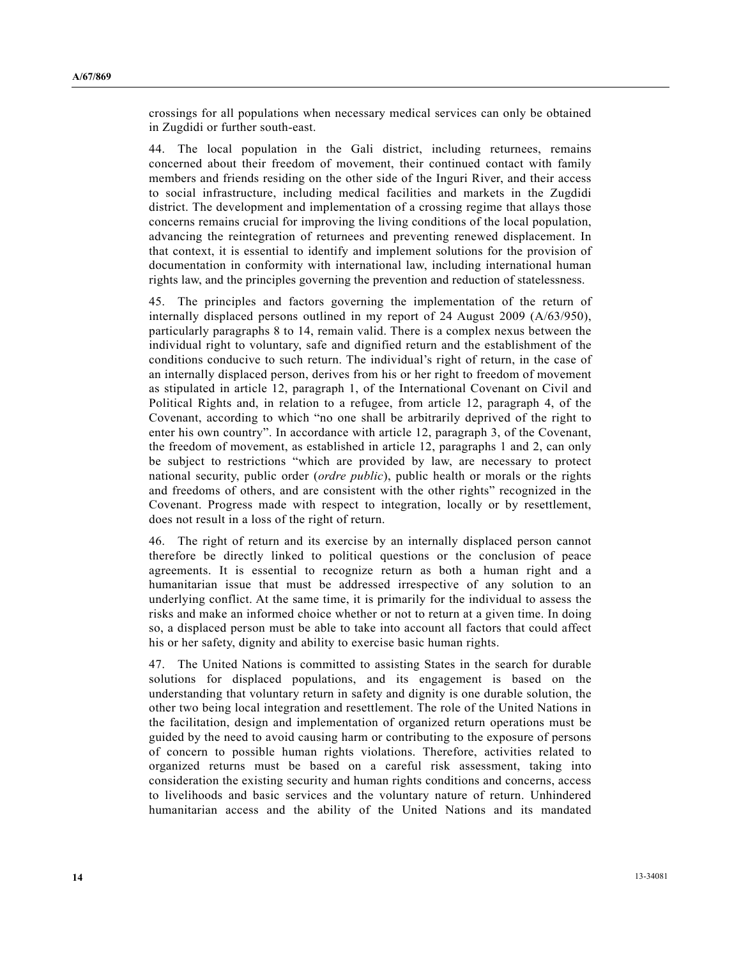crossings for all populations when necessary medical services can only be obtained in Zugdidi or further south-east.

44. The local population in the Gali district, including returnees, remains concerned about their freedom of movement, their continued contact with family members and friends residing on the other side of the Inguri River, and their access to social infrastructure, including medical facilities and markets in the Zugdidi district. The development and implementation of a crossing regime that allays those concerns remains crucial for improving the living conditions of the local population, advancing the reintegration of returnees and preventing renewed displacement. In that context, it is essential to identify and implement solutions for the provision of documentation in conformity with international law, including international human rights law, and the principles governing the prevention and reduction of statelessness.

45. The principles and factors governing the implementation of the return of internally displaced persons outlined in my report of 24 August 2009 (A/63/950), particularly paragraphs 8 to 14, remain valid. There is a complex nexus between the individual right to voluntary, safe and dignified return and the establishment of the conditions conducive to such return. The individual's right of return, in the case of an internally displaced person, derives from his or her right to freedom of movement as stipulated in article 12, paragraph 1, of the International Covenant on Civil and Political Rights and, in relation to a refugee, from article 12, paragraph 4, of the Covenant, according to which "no one shall be arbitrarily deprived of the right to enter his own country". In accordance with article 12, paragraph 3, of the Covenant, the freedom of movement, as established in article 12, paragraphs 1 and 2, can only be subject to restrictions "which are provided by law, are necessary to protect national security, public order (*ordre public*), public health or morals or the rights and freedoms of others, and are consistent with the other rights" recognized in the Covenant. Progress made with respect to integration, locally or by resettlement, does not result in a loss of the right of return.

46. The right of return and its exercise by an internally displaced person cannot therefore be directly linked to political questions or the conclusion of peace agreements. It is essential to recognize return as both a human right and a humanitarian issue that must be addressed irrespective of any solution to an underlying conflict. At the same time, it is primarily for the individual to assess the risks and make an informed choice whether or not to return at a given time. In doing so, a displaced person must be able to take into account all factors that could affect his or her safety, dignity and ability to exercise basic human rights.

47. The United Nations is committed to assisting States in the search for durable solutions for displaced populations, and its engagement is based on the understanding that voluntary return in safety and dignity is one durable solution, the other two being local integration and resettlement. The role of the United Nations in the facilitation, design and implementation of organized return operations must be guided by the need to avoid causing harm or contributing to the exposure of persons of concern to possible human rights violations. Therefore, activities related to organized returns must be based on a careful risk assessment, taking into consideration the existing security and human rights conditions and concerns, access to livelihoods and basic services and the voluntary nature of return. Unhindered humanitarian access and the ability of the United Nations and its mandated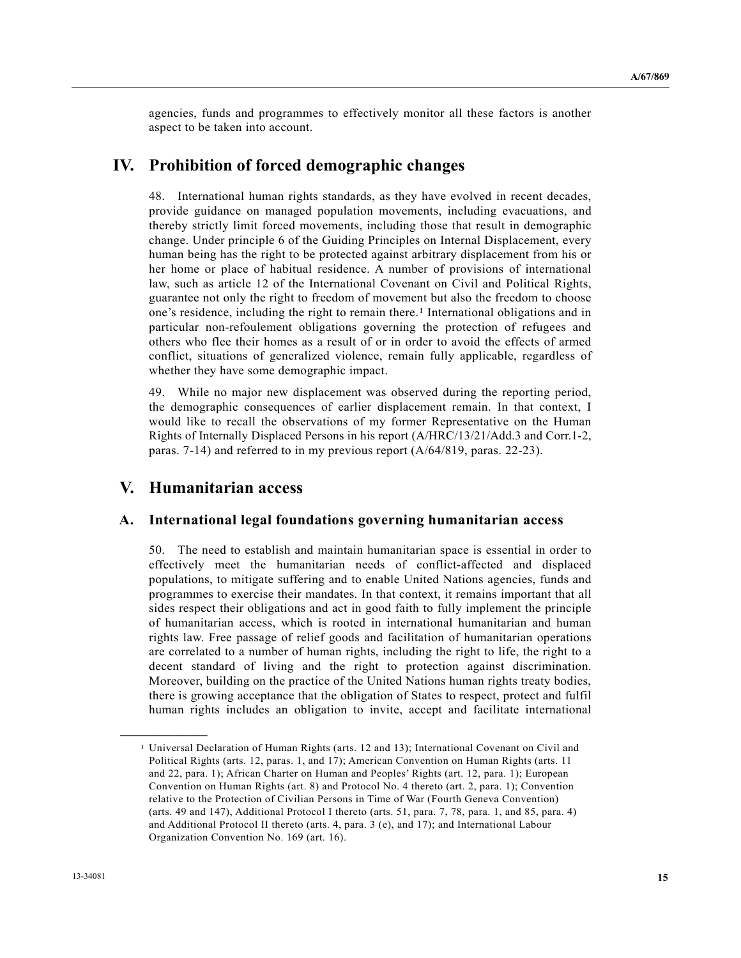agencies, funds and programmes to effectively monitor all these factors is another aspect to be taken into account.

### **IV. Prohibition of forced demographic changes**

48. International human rights standards, as they have evolved in recent decades, provide guidance on managed population movements, including evacuations, and thereby strictly limit forced movements, including those that result in demographic change. Under principle 6 of the Guiding Principles on Internal Displacement, every human being has the right to be protected against arbitrary displacement from his or her home or place of habitual residence. A number of provisions of international law, such as article 12 of the International Covenant on Civil and Political Rights, guarantee not only the right to freedom of movement but also the freedom to choose one's residence, including the right to remain there.1 International obligations and in particular non-refoulement obligations governing the protection of refugees and others who flee their homes as a result of or in order to avoid the effects of armed conflict, situations of generalized violence, remain fully applicable, regardless of whether they have some demographic impact.

49. While no major new displacement was observed during the reporting period, the demographic consequences of earlier displacement remain. In that context, I would like to recall the observations of my former Representative on the Human Rights of Internally Displaced Persons in his report (A/HRC/13/21/Add.3 and Corr.1-2, paras. 7-14) and referred to in my previous report (A/64/819, paras. 22-23).

# **V. Humanitarian access**

**\_\_\_\_\_\_\_\_\_\_\_\_\_\_\_\_\_\_** 

#### **A. International legal foundations governing humanitarian access**

50. The need to establish and maintain humanitarian space is essential in order to effectively meet the humanitarian needs of conflict-affected and displaced populations, to mitigate suffering and to enable United Nations agencies, funds and programmes to exercise their mandates. In that context, it remains important that all sides respect their obligations and act in good faith to fully implement the principle of humanitarian access, which is rooted in international humanitarian and human rights law. Free passage of relief goods and facilitation of humanitarian operations are correlated to a number of human rights, including the right to life, the right to a decent standard of living and the right to protection against discrimination. Moreover, building on the practice of the United Nations human rights treaty bodies, there is growing acceptance that the obligation of States to respect, protect and fulfil human rights includes an obligation to invite, accept and facilitate international

<sup>1</sup> Universal Declaration of Human Rights (arts. 12 and 13); International Covenant on Civil and Political Rights (arts. 12, paras. 1, and 17); American Convention on Human Rights (arts. 11 and 22, para. 1); African Charter on Human and Peoples' Rights (art. 12, para. 1); European Convention on Human Rights (art. 8) and Protocol No. 4 thereto (art. 2, para. 1); Convention relative to the Protection of Civilian Persons in Time of War (Fourth Geneva Convention) (arts. 49 and 147), Additional Protocol I thereto (arts. 51, para. 7, 78, para. 1, and 85, para. 4) and Additional Protocol II thereto (arts. 4, para. 3 (e), and 17); and International Labour Organization Convention No. 169 (art. 16).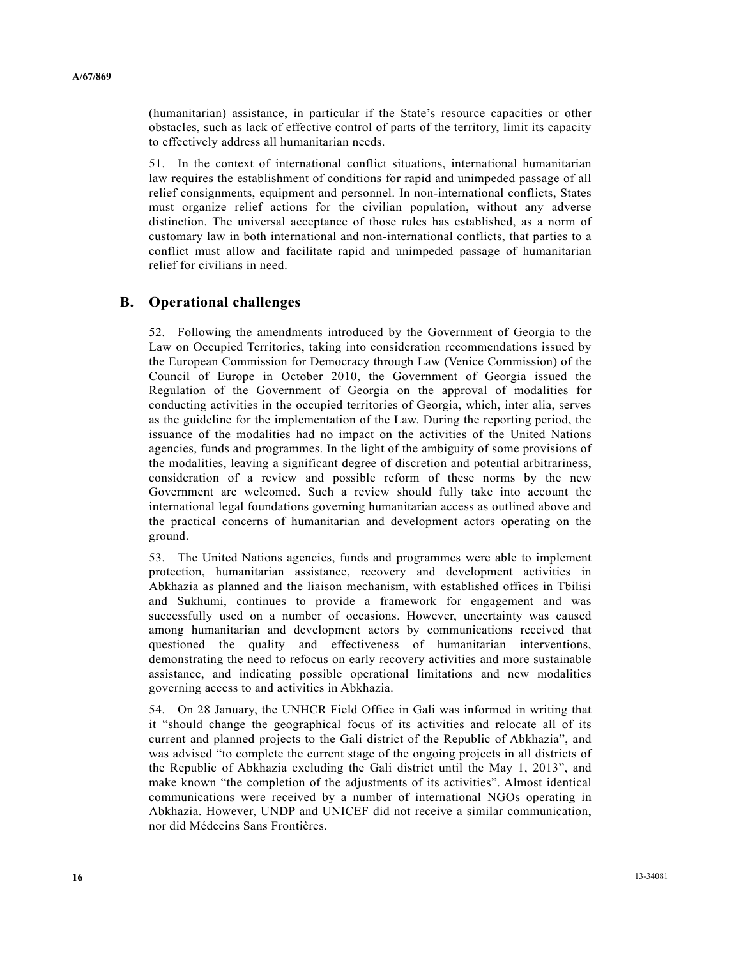(humanitarian) assistance, in particular if the State's resource capacities or other obstacles, such as lack of effective control of parts of the territory, limit its capacity to effectively address all humanitarian needs.

51. In the context of international conflict situations, international humanitarian law requires the establishment of conditions for rapid and unimpeded passage of all relief consignments, equipment and personnel. In non-international conflicts, States must organize relief actions for the civilian population, without any adverse distinction. The universal acceptance of those rules has established, as a norm of customary law in both international and non-international conflicts, that parties to a conflict must allow and facilitate rapid and unimpeded passage of humanitarian relief for civilians in need.

### **B. Operational challenges**

52. Following the amendments introduced by the Government of Georgia to the Law on Occupied Territories, taking into consideration recommendations issued by the European Commission for Democracy through Law (Venice Commission) of the Council of Europe in October 2010, the Government of Georgia issued the Regulation of the Government of Georgia on the approval of modalities for conducting activities in the occupied territories of Georgia, which, inter alia, serves as the guideline for the implementation of the Law. During the reporting period, the issuance of the modalities had no impact on the activities of the United Nations agencies, funds and programmes. In the light of the ambiguity of some provisions of the modalities, leaving a significant degree of discretion and potential arbitrariness, consideration of a review and possible reform of these norms by the new Government are welcomed. Such a review should fully take into account the international legal foundations governing humanitarian access as outlined above and the practical concerns of humanitarian and development actors operating on the ground.

53. The United Nations agencies, funds and programmes were able to implement protection, humanitarian assistance, recovery and development activities in Abkhazia as planned and the liaison mechanism, with established offices in Tbilisi and Sukhumi, continues to provide a framework for engagement and was successfully used on a number of occasions. However, uncertainty was caused among humanitarian and development actors by communications received that questioned the quality and effectiveness of humanitarian interventions, demonstrating the need to refocus on early recovery activities and more sustainable assistance, and indicating possible operational limitations and new modalities governing access to and activities in Abkhazia.

54. On 28 January, the UNHCR Field Office in Gali was informed in writing that it "should change the geographical focus of its activities and relocate all of its current and planned projects to the Gali district of the Republic of Abkhazia", and was advised "to complete the current stage of the ongoing projects in all districts of the Republic of Abkhazia excluding the Gali district until the May 1, 2013", and make known "the completion of the adjustments of its activities". Almost identical communications were received by a number of international NGOs operating in Abkhazia. However, UNDP and UNICEF did not receive a similar communication, nor did Médecins Sans Frontières.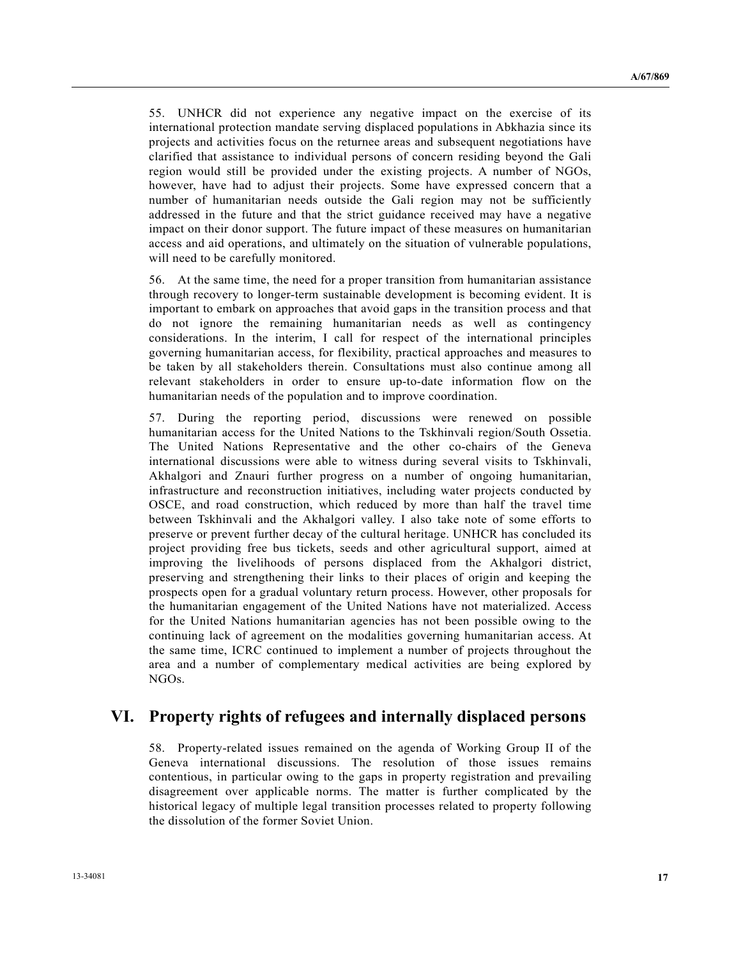55. UNHCR did not experience any negative impact on the exercise of its international protection mandate serving displaced populations in Abkhazia since its projects and activities focus on the returnee areas and subsequent negotiations have clarified that assistance to individual persons of concern residing beyond the Gali region would still be provided under the existing projects. A number of NGOs, however, have had to adjust their projects. Some have expressed concern that a number of humanitarian needs outside the Gali region may not be sufficiently addressed in the future and that the strict guidance received may have a negative impact on their donor support. The future impact of these measures on humanitarian access and aid operations, and ultimately on the situation of vulnerable populations, will need to be carefully monitored.

56. At the same time, the need for a proper transition from humanitarian assistance through recovery to longer-term sustainable development is becoming evident. It is important to embark on approaches that avoid gaps in the transition process and that do not ignore the remaining humanitarian needs as well as contingency considerations. In the interim, I call for respect of the international principles governing humanitarian access, for flexibility, practical approaches and measures to be taken by all stakeholders therein. Consultations must also continue among all relevant stakeholders in order to ensure up-to-date information flow on the humanitarian needs of the population and to improve coordination.

57. During the reporting period, discussions were renewed on possible humanitarian access for the United Nations to the Tskhinvali region/South Ossetia. The United Nations Representative and the other co-chairs of the Geneva international discussions were able to witness during several visits to Tskhinvali, Akhalgori and Znauri further progress on a number of ongoing humanitarian, infrastructure and reconstruction initiatives, including water projects conducted by OSCE, and road construction, which reduced by more than half the travel time between Tskhinvali and the Akhalgori valley. I also take note of some efforts to preserve or prevent further decay of the cultural heritage. UNHCR has concluded its project providing free bus tickets, seeds and other agricultural support, aimed at improving the livelihoods of persons displaced from the Akhalgori district, preserving and strengthening their links to their places of origin and keeping the prospects open for a gradual voluntary return process. However, other proposals for the humanitarian engagement of the United Nations have not materialized. Access for the United Nations humanitarian agencies has not been possible owing to the continuing lack of agreement on the modalities governing humanitarian access. At the same time, ICRC continued to implement a number of projects throughout the area and a number of complementary medical activities are being explored by NGOs.

### **VI. Property rights of refugees and internally displaced persons**

58. Property-related issues remained on the agenda of Working Group II of the Geneva international discussions. The resolution of those issues remains contentious, in particular owing to the gaps in property registration and prevailing disagreement over applicable norms. The matter is further complicated by the historical legacy of multiple legal transition processes related to property following the dissolution of the former Soviet Union.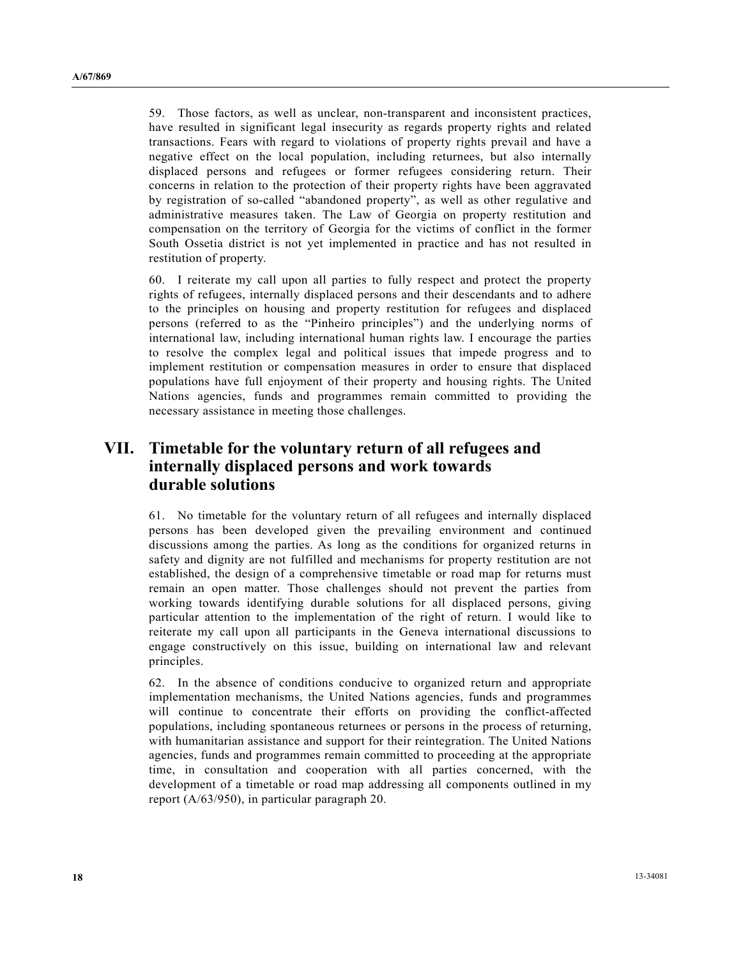59. Those factors, as well as unclear, non-transparent and inconsistent practices, have resulted in significant legal insecurity as regards property rights and related transactions. Fears with regard to violations of property rights prevail and have a negative effect on the local population, including returnees, but also internally displaced persons and refugees or former refugees considering return. Their concerns in relation to the protection of their property rights have been aggravated by registration of so-called "abandoned property", as well as other regulative and administrative measures taken. The Law of Georgia on property restitution and compensation on the territory of Georgia for the victims of conflict in the former South Ossetia district is not yet implemented in practice and has not resulted in restitution of property.

60. I reiterate my call upon all parties to fully respect and protect the property rights of refugees, internally displaced persons and their descendants and to adhere to the principles on housing and property restitution for refugees and displaced persons (referred to as the "Pinheiro principles") and the underlying norms of international law, including international human rights law. I encourage the parties to resolve the complex legal and political issues that impede progress and to implement restitution or compensation measures in order to ensure that displaced populations have full enjoyment of their property and housing rights. The United Nations agencies, funds and programmes remain committed to providing the necessary assistance in meeting those challenges.

# **VII. Timetable for the voluntary return of all refugees and internally displaced persons and work towards durable solutions**

61. No timetable for the voluntary return of all refugees and internally displaced persons has been developed given the prevailing environment and continued discussions among the parties. As long as the conditions for organized returns in safety and dignity are not fulfilled and mechanisms for property restitution are not established, the design of a comprehensive timetable or road map for returns must remain an open matter. Those challenges should not prevent the parties from working towards identifying durable solutions for all displaced persons, giving particular attention to the implementation of the right of return. I would like to reiterate my call upon all participants in the Geneva international discussions to engage constructively on this issue, building on international law and relevant principles.

62. In the absence of conditions conducive to organized return and appropriate implementation mechanisms, the United Nations agencies, funds and programmes will continue to concentrate their efforts on providing the conflict-affected populations, including spontaneous returnees or persons in the process of returning, with humanitarian assistance and support for their reintegration. The United Nations agencies, funds and programmes remain committed to proceeding at the appropriate time, in consultation and cooperation with all parties concerned, with the development of a timetable or road map addressing all components outlined in my report (A/63/950), in particular paragraph 20.